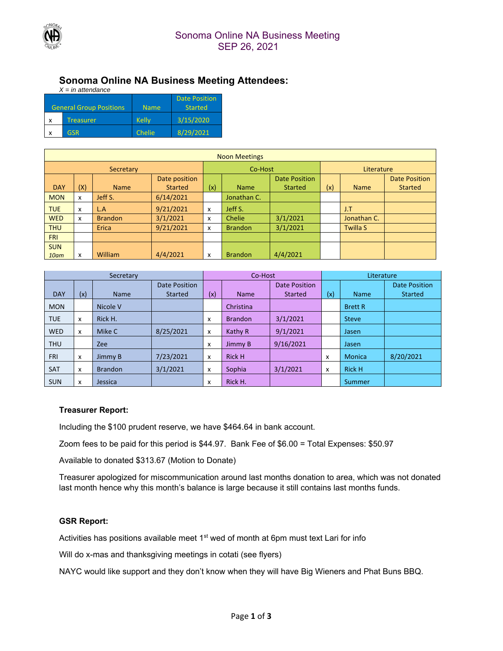

#### **Sonoma Online NA Business Meeting Attendees:**  *X = in attendance*

| $\lambda = \mu \nu$ and $\mu \nu$ |                                |              |                                        |  |  |  |  |
|-----------------------------------|--------------------------------|--------------|----------------------------------------|--|--|--|--|
|                                   | <b>General Group Positions</b> | <b>Name</b>  | <b>Date Position</b><br><b>Started</b> |  |  |  |  |
| x                                 | Treasurer                      | <b>Kelly</b> | 3/15/2020                              |  |  |  |  |
|                                   | <b>GSR</b>                     | Chelie       | 8/29/2021                              |  |  |  |  |

| <b>Noon Meetings</b> |     |                |                |     |                |                      |     |                 |                      |
|----------------------|-----|----------------|----------------|-----|----------------|----------------------|-----|-----------------|----------------------|
| Secretary            |     |                | Co-Host        |     |                | Literature           |     |                 |                      |
|                      |     |                | Date position  |     |                | <b>Date Position</b> |     |                 | <b>Date Position</b> |
| <b>DAY</b>           | (X) | <b>Name</b>    | <b>Started</b> | (x) | <b>Name</b>    | <b>Started</b>       | (x) | <b>Name</b>     | Started              |
| <b>MON</b>           | x   | Jeff S.        | 6/14/2021      |     | Jonathan C.    |                      |     |                 |                      |
| <b>TUE</b>           | x   | L.A            | 9/21/2021      | x   | Jeff S.        |                      |     | J.T             |                      |
| <b>WED</b>           | x   | <b>Brandon</b> | 3/1/2021       | x   | Chelie         | 3/1/2021             |     | Jonathan C.     |                      |
| <b>THU</b>           |     | Erica          | 9/21/2021      | x   | <b>Brandon</b> | 3/1/2021             |     | <b>Twilla S</b> |                      |
| <b>FRI</b>           |     |                |                |     |                |                      |     |                 |                      |
| <b>SUN</b>           |     |                |                |     |                |                      |     |                 |                      |
| 10 <sub>am</sub>     | x   | <b>William</b> | 4/4/2021       | x   | <b>Brandon</b> | 4/4/2021             |     |                 |                      |

| Secretary  |                           |                | Co-Host              |                           |                | Literature           |     |                |                      |
|------------|---------------------------|----------------|----------------------|---------------------------|----------------|----------------------|-----|----------------|----------------------|
|            |                           |                | <b>Date Position</b> |                           |                | <b>Date Position</b> |     |                | <b>Date Position</b> |
| <b>DAY</b> | (x)                       | <b>Name</b>    | Started              | (x)                       | <b>Name</b>    | <b>Started</b>       | (x) | <b>Name</b>    | <b>Started</b>       |
| <b>MON</b> |                           | Nicole V       |                      |                           | Christina      |                      |     | <b>Brett R</b> |                      |
| <b>TUE</b> | $\boldsymbol{\mathsf{x}}$ | Rick H.        |                      | x                         | <b>Brandon</b> | 3/1/2021             |     | <b>Steve</b>   |                      |
| <b>WED</b> | $\mathsf{x}$              | Mike C         | 8/25/2021            | X                         | Kathy R        | 9/1/2021             |     | Jasen          |                      |
| <b>THU</b> |                           | Zee            |                      | x                         | Jimmy B        | 9/16/2021            |     | Jasen          |                      |
| <b>FRI</b> | X                         | Jimmy B        | 7/23/2021            | $\boldsymbol{\mathsf{x}}$ | <b>Rick H</b>  |                      | x   | Monica         | 8/20/2021            |
| <b>SAT</b> | $\boldsymbol{\mathsf{x}}$ | <b>Brandon</b> | 3/1/2021             | x                         | Sophia         | 3/1/2021             | x   | <b>Rick H</b>  |                      |
| <b>SUN</b> | x                         | Jessica        |                      | x                         | Rick H.        |                      |     | Summer         |                      |

## **Treasurer Report:**

Including the \$100 prudent reserve, we have \$464.64 in bank account.

Zoom fees to be paid for this period is \$44.97. Bank Fee of \$6.00 = Total Expenses: \$50.97

Available to donated \$313.67 (Motion to Donate)

Treasurer apologized for miscommunication around last months donation to area, which was not donated last month hence why this month's balance is large because it still contains last months funds.

## **GSR Report:**

Activities has positions available meet 1<sup>st</sup> wed of month at 6pm must text Lari for info

Will do x-mas and thanksgiving meetings in cotati (see flyers)

NAYC would like support and they don't know when they will have Big Wieners and Phat Buns BBQ.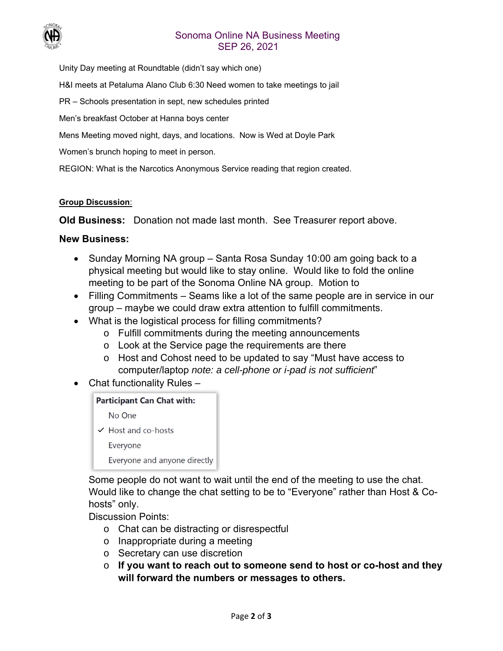

Unity Day meeting at Roundtable (didn't say which one)

H&I meets at Petaluma Alano Club 6:30 Need women to take meetings to jail

PR – Schools presentation in sept, new schedules printed

Men's breakfast October at Hanna boys center

Mens Meeting moved night, days, and locations. Now is Wed at Doyle Park

Women's brunch hoping to meet in person.

REGION: What is the Narcotics Anonymous Service reading that region created.

## **Group Discussion**:

**Old Business:** Donation not made last month. See Treasurer report above.

# **New Business:**

- Sunday Morning NA group Santa Rosa Sunday 10:00 am going back to a physical meeting but would like to stay online. Would like to fold the online meeting to be part of the Sonoma Online NA group. Motion to
- Filling Commitments Seams like a lot of the same people are in service in our group – maybe we could draw extra attention to fulfill commitments.
- What is the logistical process for filling commitments?
	- o Fulfill commitments during the meeting announcements
	- o Look at the Service page the requirements are there
	- o Host and Cohost need to be updated to say "Must have access to computer/laptop *note: a cell-phone or i-pad is not sufficient*"
- Chat functionality Rules –

# **Participant Can Chat with:**

No One

 $\checkmark$  Host and co-hosts

Everyone

| Everyone and anyone directly |  |  |
|------------------------------|--|--|
|------------------------------|--|--|

Some people do not want to wait until the end of the meeting to use the chat. Would like to change the chat setting to be to "Everyone" rather than Host & Cohosts" only.

Discussion Points:

- o Chat can be distracting or disrespectful
- o Inappropriate during a meeting
- o Secretary can use discretion
- o **If you want to reach out to someone send to host or co-host and they will forward the numbers or messages to others.**